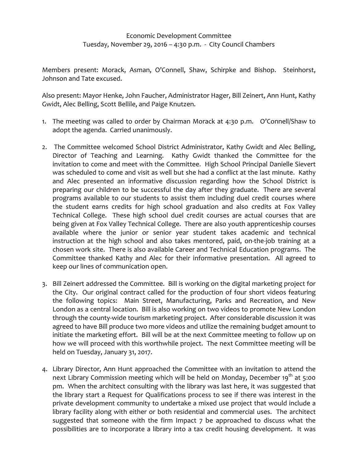## Economic Development Committee Tuesday, November 29, 2016 – 4:30 p.m. - City Council Chambers

Members present: Morack, Asman, O'Connell, Shaw, Schirpke and Bishop. Steinhorst, Johnson and Tate excused.

Also present: Mayor Henke, John Faucher, Administrator Hager, Bill Zeinert, Ann Hunt, Kathy Gwidt, Alec Belling, Scott Bellile, and Paige Knutzen.

- 1. The meeting was called to order by Chairman Morack at 4:30 p.m. O'Connell/Shaw to adopt the agenda. Carried unanimously.
- 2. The Committee welcomed School District Administrator, Kathy Gwidt and Alec Belling, Director of Teaching and Learning. Kathy Gwidt thanked the Committee for the invitation to come and meet with the Committee. High School Principal Danielle Sievert was scheduled to come and visit as well but she had a conflict at the last minute. Kathy and Alec presented an informative discussion regarding how the School District is preparing our children to be successful the day after they graduate. There are several programs available to our students to assist them including duel credit courses where the student earns credits for high school graduation and also credits at Fox Valley Technical College. These high school duel credit courses are actual courses that are being given at Fox Valley Technical College. There are also youth apprenticeship courses available where the junior or senior year student takes academic and technical instruction at the high school and also takes mentored, paid, on-the-job training at a chosen work site. There is also available Career and Technical Education programs. The Committee thanked Kathy and Alec for their informative presentation. All agreed to keep our lines of communication open.
- 3. Bill Zeinert addressed the Committee. Bill is working on the digital marketing project for the City. Our original contract called for the production of four short videos featuring the following topics: Main Street, Manufacturing, Parks and Recreation, and New London as a central location. Bill is also working on two videos to promote New London through the county-wide tourism marketing project. After considerable discussion it was agreed to have Bill produce two more videos and utilize the remaining budget amount to initiate the marketing effort. Bill will be at the next Committee meeting to follow up on how we will proceed with this worthwhile project. The next Committee meeting will be held on Tuesday, January 31, 2017.
- 4. Library Director, Ann Hunt approached the Committee with an invitation to attend the next Library Commission meeting which will be held on Monday, December 19<sup>th</sup> at 5:00 pm. When the architect consulting with the library was last here, it was suggested that the library start a Request for Qualifications process to see if there was interest in the private development community to undertake a mixed use project that would include a library facility along with either or both residential and commercial uses. The architect suggested that someone with the firm Impact 7 be approached to discuss what the possibilities are to incorporate a library into a tax credit housing development. It was